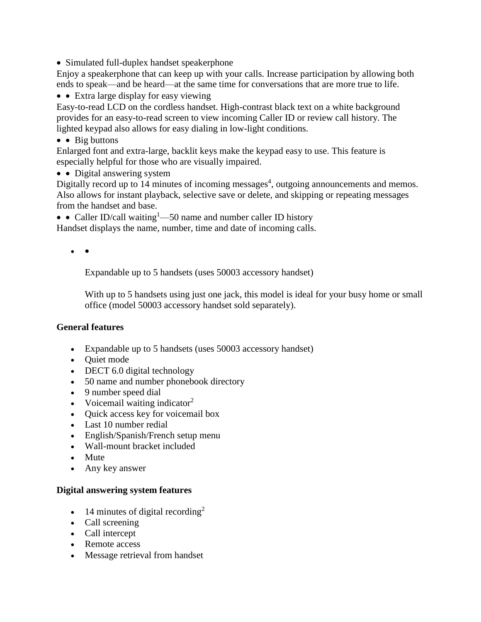• Simulated full-duplex handset speakerphone

Enjoy a speakerphone that can keep up with your calls. Increase participation by allowing both ends to speak—and be heard—at the same time for conversations that are more true to life.

• Extra large display for easy viewing

Easy-to-read LCD on the cordless handset. High-contrast black text on a white background provides for an easy-to-read screen to view incoming Caller ID or review call history. The lighted keypad also allows for easy dialing in low-light conditions.

## $\bullet$  Big buttons

Enlarged font and extra-large, backlit keys make the keypad easy to use. This feature is especially helpful for those who are visually impaired.

• Digital answering system

Digitally record up to 14 minutes of incoming messages<sup>4</sup>, outgoing announcements and memos. Also allows for instant playback, selective save or delete, and skipping or repeating messages from the handset and base.

• Caller ID/call waiting<sup>1</sup>—50 name and number caller ID history

Handset displays the name, number, time and date of incoming calls.

 $\bullet$ 

Expandable up to 5 handsets (uses 50003 accessory handset)

With up to 5 handsets using just one jack, this model is ideal for your busy home or small office (model 50003 accessory handset sold separately).

## **General features**

- Expandable up to 5 handsets (uses 50003 accessory handset)
- Ouiet mode
- DECT 6.0 digital technology
- 50 name and number phonebook directory
- 9 number speed dial
- Voicemail waiting indicator<sup>2</sup>
- Quick access key for voicemail box
- Last 10 number redial
- English/Spanish/French setup menu
- Wall-mount bracket included
- Mute
- Any key answer

## **Digital answering system features**

- $\bullet$  14 minutes of digital recording<sup>2</sup>
- Call screening
- Call intercept
- Remote access
- Message retrieval from handset